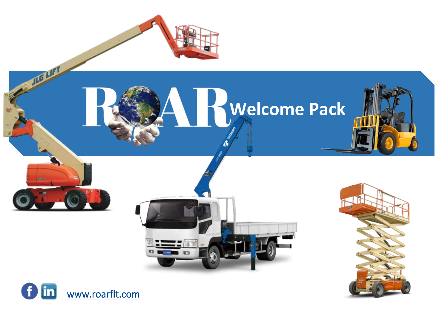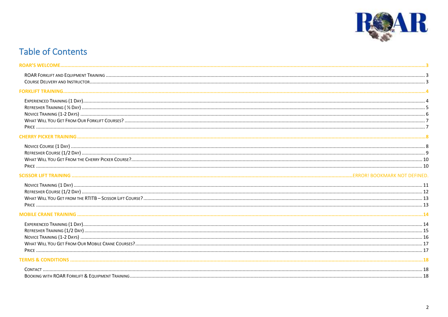

# **Table of Contents**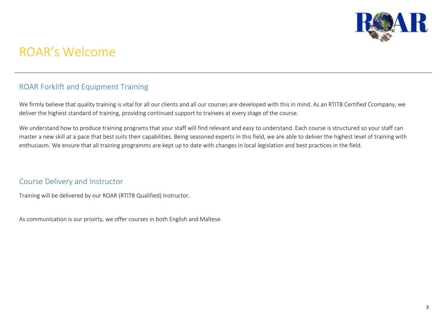

# <span id="page-2-0"></span>ROAR's Welcome

## <span id="page-2-1"></span>ROAR Forklift and Equipment Training

We firmly believe that quality training is vital for all our clients and all our courses are developed with this in mind. As an RTITB Certified Ccompany, we deliver the highest standard of training, providing continued support to trainees at every stage of the course.

We understand how to produce training programs that your staff will find relevant and easy to understand. Each course is structured so your staff can master a new skill at a pace that best suits their capabilities. Being seasoned experts in this field, we are able to deliver the highest level of training with enthusiasm. We ensure that all training programms are kept up to date with changes in local legislation and best practices in the field.

## <span id="page-2-2"></span>Course Delivery and Instructor

Training will be delivered by our ROAR (RTITB Qualified) Instructor.

As communication is our prioirty, we offer courses in both English and Maltese.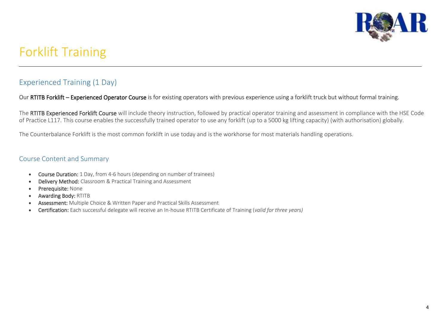

# <span id="page-3-0"></span>Forklift Training

# <span id="page-3-1"></span>Experienced Training (1 Day)

Our RTITB Forklift – Experienced Operator Course is for existing operators with previous experience using a forklift truck but without formal training.

The RTITB Experienced Forklift Course will include theory instruction, followed by practical operator training and assessment in compliance with the HSE Code of Practice L117. This course enables the successfully trained operator to use any forklift (up to a 5000 kg lifting capacity) (with authorisation) globally.

The Counterbalance Forklift is the most common forklift in use today and is the workhorse for most materials handling operations.

- Course Duration: 1 Day, from 4-6 hours (depending on number of trainees)
- Delivery Method: Classroom & Practical Training and Assessment
- Prerequisite: None
- Awarding Body: RTITB
- Assessment: Multiple Choice & Written Paper and Practical Skills Assessment
- Certification: Each successful delegate will receive an In-house RTITB Certificate of Training (*valid for three years)*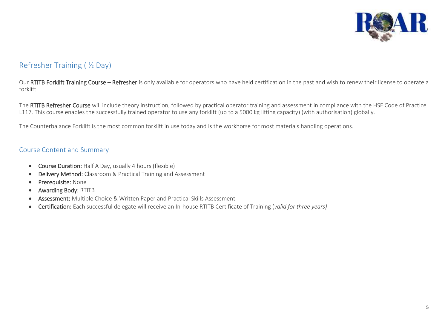

# <span id="page-4-0"></span>Refresher Training ( ½ Day)

Our RTITB Forklift Training Course - Refresher is only available for operators who have held certification in the past and wish to renew their license to operate a forklift.

The RTITB Refresher Course will include theory instruction, followed by practical operator training and assessment in compliance with the HSE Code of Practice L117. This course enables the successfully trained operator to use any forklift (up to a 5000 kg lifting capacity) (with authorisation) globally.

The Counterbalance Forklift is the most common forklift in use today and is the workhorse for most materials handling operations.

- Course Duration: Half A Day, usually 4 hours (flexible)
- Delivery Method: Classroom & Practical Training and Assessment
- Prerequisite: None
- Awarding Body: RTITB
- Assessment: Multiple Choice & Written Paper and Practical Skills Assessment
- Certification: Each successful delegate will receive an In-house RTITB Certificate of Training (*valid for three years)*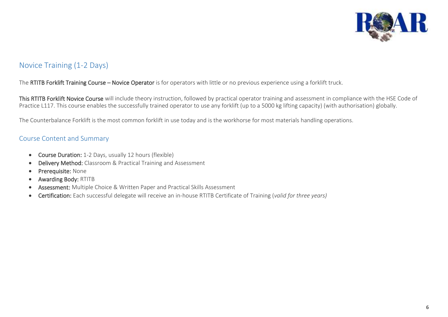

# <span id="page-5-0"></span>Novice Training (1-2 Days)

#### The RTITB Forklift Training Course – Novice Operator is for operators with little or no previous experience using a forklift truck.

This RTITB Forklift Novice Course will include theory instruction, followed by practical operator training and assessment in compliance with the HSE Code of Practice L117. This course enables the successfully trained operator to use any forklift (up to a 5000 kg lifting capacity) (with authorisation) globally.

The Counterbalance Forklift is the most common forklift in use today and is the workhorse for most materials handling operations.

- Course Duration: 1-2 Days, usually 12 hours (flexible)
- Delivery Method: Classroom & Practical Training and Assessment
- Prerequisite: None
- Awarding Body: RTITB
- Assessment: Multiple Choice & Written Paper and Practical Skills Assessment
- Certification: Each successful delegate will receive an in-house RTITB Certificate of Training (*valid for three years)*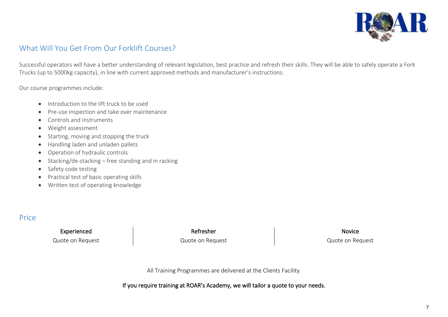

# <span id="page-6-0"></span>What Will You Get From Our Forklift Courses?

Successful operators will have a better understanding of relevant legislation, best practice and refresh their skills. They will be able to safely operate a Fork Trucks (up to 5000kg capacity), in line with current approved methods and manufacturer's instructions.

Our course programmes include:

- Introduction to the lift truck to be used
- Pre-use inspection and take over maintenance
- Controls and instruments
- Weight assessment
- Starting, moving and stopping the truck
- Handling laden and unladen pallets
- Operation of hydraulic controls
- Stacking/de-stacking free standing and in racking
- Safety code testing
- Practical test of basic operating skills
- Written test of operating knowledge

## <span id="page-6-1"></span>Price

Experienced Novice Refresher Novice Refresher Novice

Quote on Request **Quote on Request** Quote on Request **Quote on Request** Quote on Request

All Training Programmes are delivered at the Clients Facility.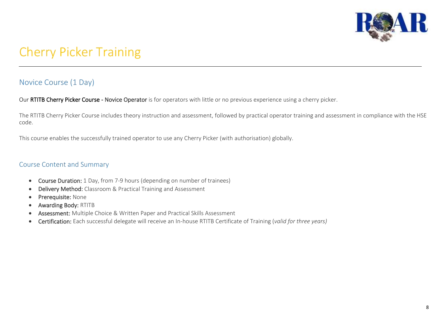

# <span id="page-7-0"></span>Cherry Picker Training

## <span id="page-7-1"></span>Novice Course (1 Day)

Our RTITB Cherry Picker Course - Novice Operator is for operators with little or no previous experience using a cherry picker.

The RTITB Cherry Picker Course includes theory instruction and assessment, followed by practical operator training and assessment in compliance with the HSE code.

This course enables the successfully trained operator to use any Cherry Picker (with authorisation) globally.

- Course Duration: 1 Day, from 7-9 hours (depending on number of trainees)
- Delivery Method: Classroom & Practical Training and Assessment
- Prerequisite: None
- Awarding Body: RTITB
- Assessment: Multiple Choice & Written Paper and Practical Skills Assessment
- Certification: Each successful delegate will receive an In-house RTITB Certificate of Training (*valid for three years)*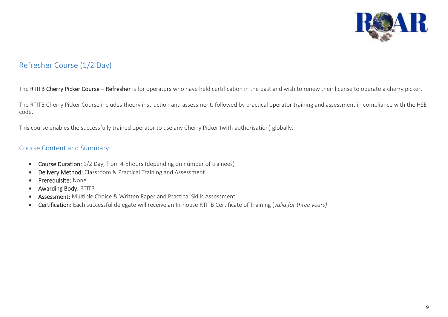

# <span id="page-8-0"></span>Refresher Course (1/2 Day)

#### The RTITB Cherry Picker Course – Refresher is for operators who have held certification in the past and wish to renew their license to operate a cherry picker.

The RTITB Cherry Picker Course includes theory instruction and assessment, followed by practical operator training and assessment in compliance with the HSE code.

This course enables the successfully trained operator to use any Cherry Picker (with authorisation) globally.

- Course Duration: 1/2 Day, from 4-5hours (depending on number of trainees)
- Delivery Method: Classroom & Practical Training and Assessment
- Prerequisite: None
- Awarding Body: RTITB
- Assessment: Multiple Choice & Written Paper and Practical Skills Assessment
- Certification: Each successful delegate will receive an In-house RTITB Certificate of Training (*valid for three years)*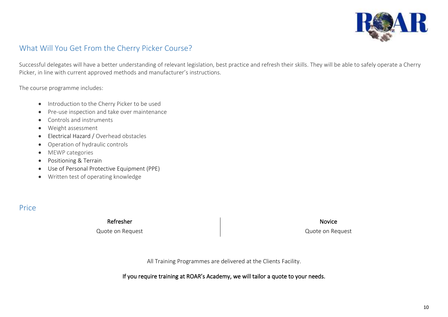

## <span id="page-9-0"></span>What Will You Get From the Cherry Picker Course?

Successful delegates will have a better understanding of relevant legislation, best practice and refresh their skills. They will be able to safely operate a Cherry Picker, in line with current approved methods and manufacturer's instructions.

The course programme includes:

- Introduction to the Cherry Picker to be used
- Pre-use inspection and take over maintenance
- Controls and instruments
- Weight assessment
- Electrical Hazard / Overhead obstacles
- Operation of hydraulic controls
- MEWP categories
- Positioning & Terrain
- Use of Personal Protective Equipment (PPE)
- Written test of operating knowledge

<span id="page-9-1"></span>Price

Refresher Novice **Refresher** Novice **Novice Refresher** 

Quote on Request Quote on Request

All Training Programmes are delivered at the Clients Facility.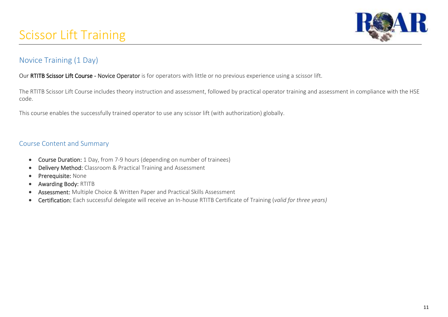

# <span id="page-10-0"></span>Novice Training (1 Day)

#### Our RTITB Scissor Lift Course - Novice Operator is for operators with little or no previous experience using a scissor lift.

The RTITB Scissor Lift Course includes theory instruction and assessment, followed by practical operator training and assessment in compliance with the HSE code.

This course enables the successfully trained operator to use any scissor lift (with authorization) globally.

- Course Duration: 1 Day, from 7-9 hours (depending on number of trainees)
- Delivery Method: Classroom & Practical Training and Assessment
- Prerequisite: None
- Awarding Body: RTITB
- Assessment: Multiple Choice & Written Paper and Practical Skills Assessment
- Certification: Each successful delegate will receive an In-house RTITB Certificate of Training (*valid for three years)*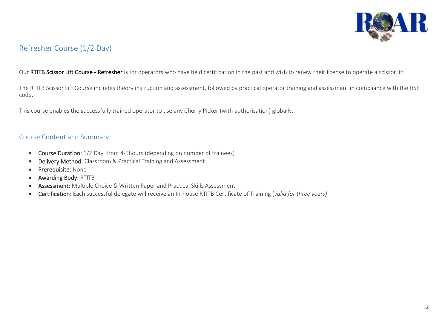

# <span id="page-11-0"></span>Refresher Course (1/2 Day)

Our RTITB Scissor Lift Course - Refresher is for operators who have held certification in the past and wish to renew their license to operate a scissor lift.

The RTITB Scissor Lift Course includes theory instruction and assessment, followed by practical operator training and assessment in compliance with the HSE code.

This course enables the successfully trained operator to use any Cherry Picker (with authorisation) globally.

- Course Duration: 1/2 Day, from 4-5hours (depending on number of trainees)
- Delivery Method: Classroom & Practical Training and Assessment
- Prerequisite: None
- Awarding Body: RTITB
- Assessment: Multiple Choice & Written Paper and Practical Skills Assessment
- Certification: Each successful delegate will receive an In-house RTITB Certificate of Training (*valid for three years)*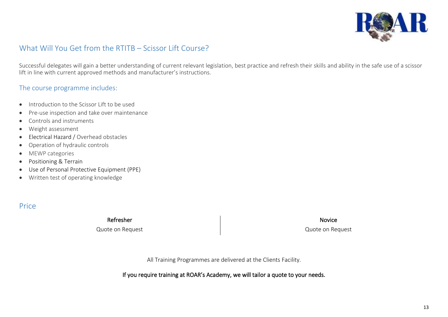

# <span id="page-12-0"></span>What Will You Get from the RTITB – Scissor Lift Course?

Successful delegates will gain a better understanding of current relevant legislation, best practice and refresh their skills and ability in the safe use of a scissor lift in line with current approved methods and manufacturer's instructions.

## The course programme includes:

- Introduction to the Scissor Lift to be used
- Pre-use inspection and take over maintenance
- Controls and instruments
- Weight assessment
- Electrical Hazard / Overhead obstacles
- Operation of hydraulic controls
- MEWP categories
- Positioning & Terrain
- Use of Personal Protective Equipment (PPE)
- Written test of operating knowledge

# <span id="page-12-1"></span>Price

Quote on Request Quote on Request

Refresher Novice Refresher Novice Refresher Novice Refresher Novice

All Training Programmes are delivered at the Clients Facility.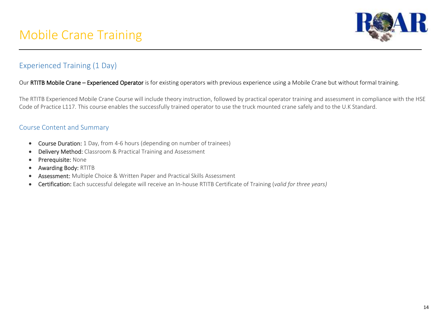

# <span id="page-13-1"></span><span id="page-13-0"></span>Experienced Training (1 Day)

#### Our RTITB Mobile Crane – Experienced Operator is for existing operators with previous experience using a Mobile Crane but without formal training.

The RTITB Experienced Mobile Crane Course will include theory instruction, followed by practical operator training and assessment in compliance with the HSE Code of Practice L117. This course enables the successfully trained operator to use the truck mounted crane safely and to the U.K Standard.

- Course Duration: 1 Day, from 4-6 hours (depending on number of trainees)
- Delivery Method: Classroom & Practical Training and Assessment
- Prerequisite: None
- Awarding Body: RTITB
- Assessment: Multiple Choice & Written Paper and Practical Skills Assessment
- Certification: Each successful delegate will receive an In-house RTITB Certificate of Training (*valid for three years)*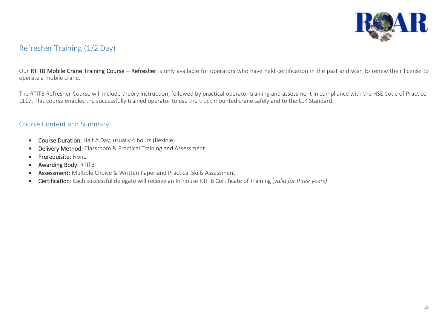

# <span id="page-14-0"></span>Refresher Training (1/2 Day)

Our RTITB Mobile Crane Training Course - Refresher is only available for operators who have held certification in the past and wish to renew their license to operate a mobile crane.

The RTITB Refresher Course will include theory instruction, followed by practical operator training and assessment in compliance with the HSE Code of Practice L117. This course enables the successfully trained operator to use the truck mounted crane safely and to the U.K Standard.

- Course Duration: Half A Day, usually 4 hours (flexible)
- Delivery Method: Classroom & Practical Training and Assessment
- Prerequisite: None
- Awarding Body: RTITB
- Assessment: Multiple Choice & Written Paper and Practical Skills Assessment
- Certification: Each successful delegate will receive an In-house RTITB Certificate of Training (*valid for three years)*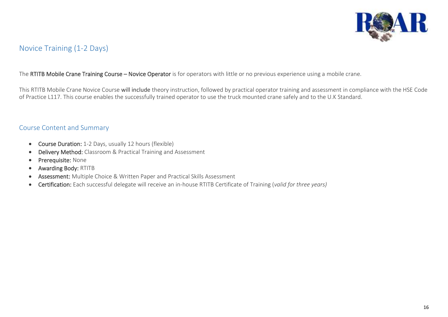

## <span id="page-15-0"></span>Novice Training (1-2 Days)

#### The RTITB Mobile Crane Training Course - Novice Operator is for operators with little or no previous experience using a mobile crane.

This RTITB Mobile Crane Novice Course will include theory instruction, followed by practical operator training and assessment in compliance with the HSE Code of Practice L117. This course enables the successfully trained operator to use the truck mounted crane safely and to the U.K Standard.

- Course Duration: 1-2 Days, usually 12 hours (flexible)
- Delivery Method: Classroom & Practical Training and Assessment
- Prerequisite: None
- Awarding Body: RTITB
- Assessment: Multiple Choice & Written Paper and Practical Skills Assessment
- Certification: Each successful delegate will receive an in-house RTITB Certificate of Training (*valid for three years)*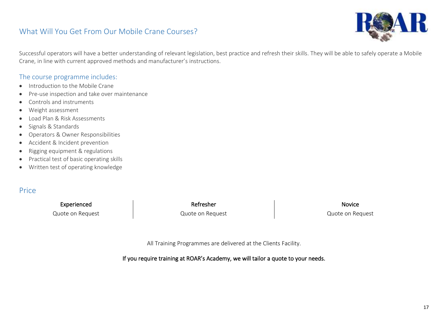## <span id="page-16-0"></span>What Will You Get From Our Mobile Crane Courses?



Successful operators will have a better understanding of relevant legislation, best practice and refresh their skills. They will be able to safely operate a Mobile Crane, in line with current approved methods and manufacturer's instructions.

### The course programme includes:

- Introduction to the Mobile Crane
- Pre-use inspection and take over maintenance
- Controls and instruments
- Weight assessment
- Load Plan & Risk Assessments
- Signals & Standards
- Operators & Owner Responsibilities
- Accident & Incident prevention
- Rigging equipment & regulations
- Practical test of basic operating skills
- Written test of operating knowledge

## <span id="page-16-1"></span>Price

Quote on Request The Cuote on Request Cuote on Request Cuote on Request

Experienced Novice Refresher Novice Refresher Novice

All Training Programmes are delivered at the Clients Facility.